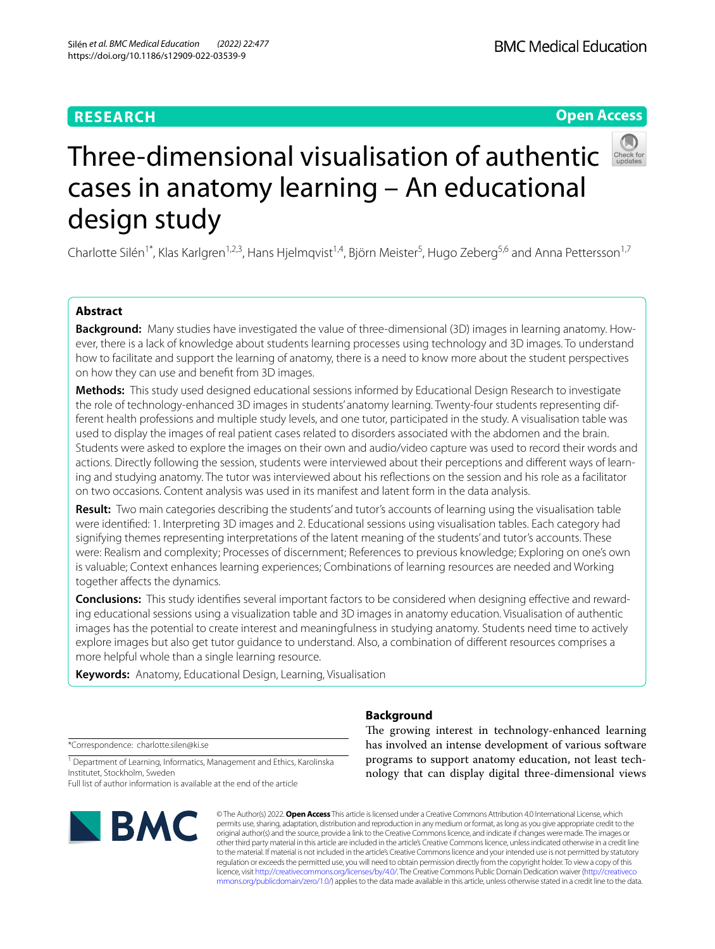# **RESEARCH**

# **Open Access**



# Three-dimensional visualisation of authentic cases in anatomy learning – An educational design study

Charlotte Silén<sup>1\*</sup>, Klas Karlgren<sup>1,2,3</sup>, Hans Hjelmqvist<sup>1,4</sup>, Björn Meister<sup>5</sup>, Hugo Zeberg<sup>5,6</sup> and Anna Pettersson<sup>1,7</sup>

# **Abstract**

**Background:** Many studies have investigated the value of three-dimensional (3D) images in learning anatomy. However, there is a lack of knowledge about students learning processes using technology and 3D images. To understand how to facilitate and support the learning of anatomy, there is a need to know more about the student perspectives on how they can use and beneft from 3D images.

**Methods:** This study used designed educational sessions informed by Educational Design Research to investigate the role of technology-enhanced 3D images in students' anatomy learning. Twenty-four students representing different health professions and multiple study levels, and one tutor, participated in the study. A visualisation table was used to display the images of real patient cases related to disorders associated with the abdomen and the brain. Students were asked to explore the images on their own and audio/video capture was used to record their words and actions. Directly following the session, students were interviewed about their perceptions and diferent ways of learning and studying anatomy. The tutor was interviewed about his refections on the session and his role as a facilitator on two occasions. Content analysis was used in its manifest and latent form in the data analysis.

**Result:** Two main categories describing the students' and tutor's accounts of learning using the visualisation table were identifed: 1. Interpreting 3D images and 2. Educational sessions using visualisation tables. Each category had signifying themes representing interpretations of the latent meaning of the students' and tutor's accounts. These were: Realism and complexity; Processes of discernment; References to previous knowledge; Exploring on one's own is valuable; Context enhances learning experiences; Combinations of learning resources are needed and Working together affects the dynamics.

**Conclusions:** This study identifes several important factors to be considered when designing efective and rewarding educational sessions using a visualization table and 3D images in anatomy education. Visualisation of authentic images has the potential to create interest and meaningfulness in studying anatomy. Students need time to actively explore images but also get tutor guidance to understand. Also, a combination of diferent resources comprises a more helpful whole than a single learning resource.

**Keywords:** Anatomy, Educational Design, Learning, Visualisation

\*Correspondence: charlotte.silen@ki.se

<sup>1</sup> Department of Learning, Informatics, Management and Ethics, Karolinska Institutet, Stockholm, Sweden

Full list of author information is available at the end of the article



# **Background**

The growing interest in technology-enhanced learning has involved an intense development of various software programs to support anatomy education, not least technology that can display digital three-dimensional views

© The Author(s) 2022. **Open Access** This article is licensed under a Creative Commons Attribution 4.0 International License, which permits use, sharing, adaptation, distribution and reproduction in any medium or format, as long as you give appropriate credit to the original author(s) and the source, provide a link to the Creative Commons licence, and indicate if changes were made. The images or other third party material in this article are included in the article's Creative Commons licence, unless indicated otherwise in a credit line to the material. If material is not included in the article's Creative Commons licence and your intended use is not permitted by statutory regulation or exceeds the permitted use, you will need to obtain permission directly from the copyright holder. To view a copy of this licence, visit [http://creativecommons.org/licenses/by/4.0/.](http://creativecommons.org/licenses/by/4.0/) The Creative Commons Public Domain Dedication waiver ([http://creativeco](http://creativecommons.org/publicdomain/zero/1.0/) [mmons.org/publicdomain/zero/1.0/](http://creativecommons.org/publicdomain/zero/1.0/)) applies to the data made available in this article, unless otherwise stated in a credit line to the data.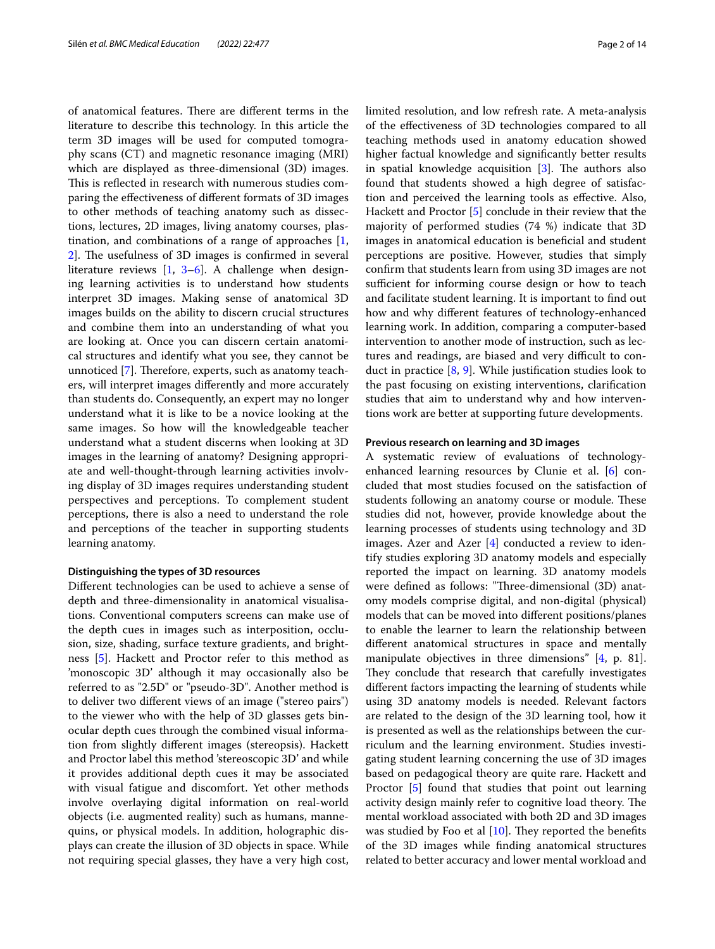of anatomical features. There are different terms in the literature to describe this technology. In this article the term 3D images will be used for computed tomography scans (CT) and magnetic resonance imaging (MRI) which are displayed as three-dimensional (3D) images. This is reflected in research with numerous studies comparing the efectiveness of diferent formats of 3D images to other methods of teaching anatomy such as dissections, lectures, 2D images, living anatomy courses, plastination, and combinations of a range of approaches [\[1](#page-13-0), [2\]](#page-13-1). The usefulness of 3D images is confirmed in several literature reviews [[1,](#page-13-0) [3](#page-13-2)–[6\]](#page-13-3). A challenge when designing learning activities is to understand how students interpret 3D images. Making sense of anatomical 3D images builds on the ability to discern crucial structures and combine them into an understanding of what you are looking at. Once you can discern certain anatomical structures and identify what you see, they cannot be unnoticed [[7\]](#page-13-4). Therefore, experts, such as anatomy teachers, will interpret images diferently and more accurately than students do. Consequently, an expert may no longer understand what it is like to be a novice looking at the same images. So how will the knowledgeable teacher understand what a student discerns when looking at 3D images in the learning of anatomy? Designing appropriate and well-thought-through learning activities involving display of 3D images requires understanding student perspectives and perceptions. To complement student perceptions, there is also a need to understand the role and perceptions of the teacher in supporting students learning anatomy.

# **Distinguishing the types of 3D resources**

Diferent technologies can be used to achieve a sense of depth and three-dimensionality in anatomical visualisations. Conventional computers screens can make use of the depth cues in images such as interposition, occlusion, size, shading, surface texture gradients, and brightness [\[5\]](#page-13-5). Hackett and Proctor refer to this method as 'monoscopic 3D' although it may occasionally also be referred to as "2.5D" or "pseudo-3D". Another method is to deliver two diferent views of an image ("stereo pairs") to the viewer who with the help of 3D glasses gets binocular depth cues through the combined visual information from slightly diferent images (stereopsis). Hackett and Proctor label this method 'stereoscopic 3D' and while it provides additional depth cues it may be associated with visual fatigue and discomfort. Yet other methods involve overlaying digital information on real-world objects (i.e. augmented reality) such as humans, mannequins, or physical models. In addition, holographic displays can create the illusion of 3D objects in space. While not requiring special glasses, they have a very high cost, limited resolution, and low refresh rate. A meta-analysis of the efectiveness of 3D technologies compared to all teaching methods used in anatomy education showed higher factual knowledge and signifcantly better results in spatial knowledge acquisition  $[3]$ . The authors also found that students showed a high degree of satisfaction and perceived the learning tools as efective. Also, Hackett and Proctor [\[5](#page-13-5)] conclude in their review that the majority of performed studies (74 %) indicate that 3D images in anatomical education is benefcial and student perceptions are positive. However, studies that simply confrm that students learn from using 3D images are not sufficient for informing course design or how to teach and facilitate student learning. It is important to fnd out how and why diferent features of technology-enhanced learning work. In addition, comparing a computer-based intervention to another mode of instruction, such as lectures and readings, are biased and very difficult to conduct in practice [[8,](#page-13-6) [9\]](#page-13-7). While justifcation studies look to the past focusing on existing interventions, clarifcation studies that aim to understand why and how interventions work are better at supporting future developments.

# **Previous research on learning and 3D images**

A systematic review of evaluations of technologyenhanced learning resources by Clunie et al. [\[6](#page-13-3)] concluded that most studies focused on the satisfaction of students following an anatomy course or module. These studies did not, however, provide knowledge about the learning processes of students using technology and 3D images. Azer and Azer [[4\]](#page-13-8) conducted a review to identify studies exploring 3D anatomy models and especially reported the impact on learning. 3D anatomy models were defined as follows: "Three-dimensional (3D) anatomy models comprise digital, and non-digital (physical) models that can be moved into diferent positions/planes to enable the learner to learn the relationship between diferent anatomical structures in space and mentally manipulate objectives in three dimensions" [[4,](#page-13-8) p. 81]. They conclude that research that carefully investigates diferent factors impacting the learning of students while using 3D anatomy models is needed. Relevant factors are related to the design of the 3D learning tool, how it is presented as well as the relationships between the curriculum and the learning environment. Studies investigating student learning concerning the use of 3D images based on pedagogical theory are quite rare. Hackett and Proctor [[5\]](#page-13-5) found that studies that point out learning activity design mainly refer to cognitive load theory. The mental workload associated with both 2D and 3D images was studied by Foo et al  $[10]$  $[10]$  $[10]$ . They reported the benefits of the 3D images while fnding anatomical structures related to better accuracy and lower mental workload and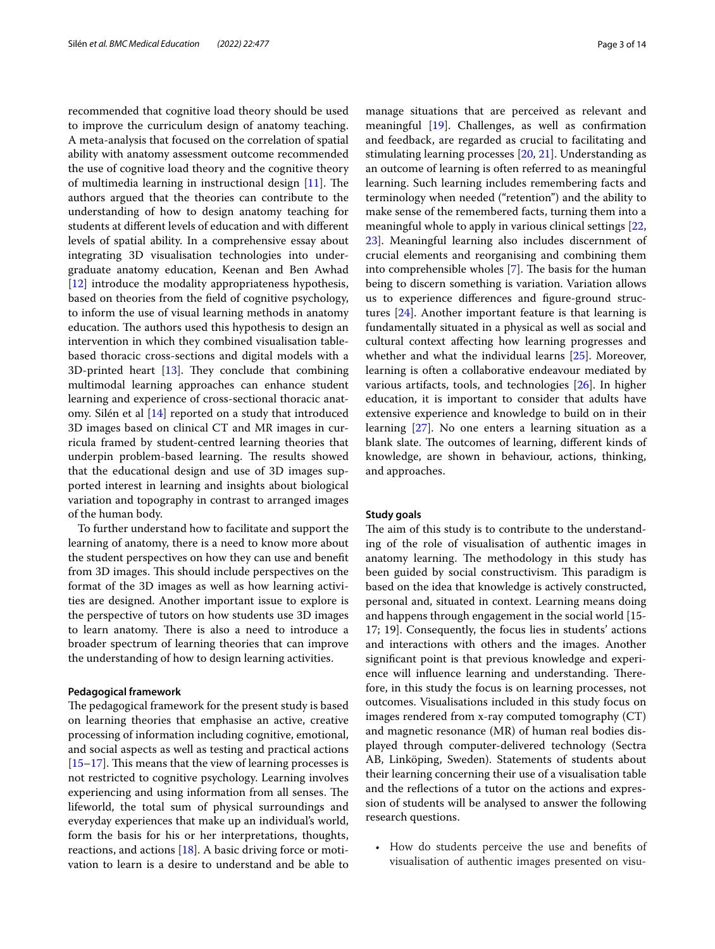recommended that cognitive load theory should be used to improve the curriculum design of anatomy teaching. A meta-analysis that focused on the correlation of spatial ability with anatomy assessment outcome recommended the use of cognitive load theory and the cognitive theory of multimedia learning in instructional design  $[11]$  $[11]$ . The authors argued that the theories can contribute to the understanding of how to design anatomy teaching for students at diferent levels of education and with diferent levels of spatial ability. In a comprehensive essay about integrating 3D visualisation technologies into undergraduate anatomy education, Keenan and Ben Awhad [[12\]](#page-13-11) introduce the modality appropriateness hypothesis, based on theories from the feld of cognitive psychology, to inform the use of visual learning methods in anatomy education. The authors used this hypothesis to design an intervention in which they combined visualisation tablebased thoracic cross-sections and digital models with a 3D-printed heart  $[13]$  $[13]$ . They conclude that combining multimodal learning approaches can enhance student learning and experience of cross-sectional thoracic anatomy. Silén et al [[14\]](#page-13-13) reported on a study that introduced 3D images based on clinical CT and MR images in curricula framed by student-centred learning theories that underpin problem-based learning. The results showed that the educational design and use of 3D images supported interest in learning and insights about biological variation and topography in contrast to arranged images of the human body.

To further understand how to facilitate and support the learning of anatomy, there is a need to know more about the student perspectives on how they can use and beneft from 3D images. This should include perspectives on the format of the 3D images as well as how learning activities are designed. Another important issue to explore is the perspective of tutors on how students use 3D images to learn anatomy. There is also a need to introduce a broader spectrum of learning theories that can improve the understanding of how to design learning activities.

## **Pedagogical framework**

The pedagogical framework for the present study is based on learning theories that emphasise an active, creative processing of information including cognitive, emotional, and social aspects as well as testing and practical actions  $[15–17]$  $[15–17]$  $[15–17]$  $[15–17]$ . This means that the view of learning processes is not restricted to cognitive psychology. Learning involves experiencing and using information from all senses. The lifeworld, the total sum of physical surroundings and everyday experiences that make up an individual's world, form the basis for his or her interpretations, thoughts, reactions, and actions  $[18]$  $[18]$  $[18]$ . A basic driving force or motivation to learn is a desire to understand and be able to manage situations that are perceived as relevant and meaningful [\[19](#page-13-17)]. Challenges, as well as confrmation and feedback, are regarded as crucial to facilitating and stimulating learning processes [\[20](#page-13-18), [21\]](#page-13-19). Understanding as an outcome of learning is often referred to as meaningful learning. Such learning includes remembering facts and terminology when needed ("retention") and the ability to make sense of the remembered facts, turning them into a meaningful whole to apply in various clinical settings [[22](#page-13-20), [23\]](#page-13-21). Meaningful learning also includes discernment of crucial elements and reorganising and combining them into comprehensible wholes  $[7]$  $[7]$ . The basis for the human being to discern something is variation. Variation allows us to experience diferences and fgure-ground structures [[24\]](#page-13-22). Another important feature is that learning is fundamentally situated in a physical as well as social and cultural context afecting how learning progresses and whether and what the individual learns [[25](#page-13-23)]. Moreover, learning is often a collaborative endeavour mediated by various artifacts, tools, and technologies [[26\]](#page-13-24). In higher education, it is important to consider that adults have extensive experience and knowledge to build on in their learning [\[27](#page-13-25)]. No one enters a learning situation as a blank slate. The outcomes of learning, different kinds of knowledge, are shown in behaviour, actions, thinking, and approaches.

# **Study goals**

The aim of this study is to contribute to the understanding of the role of visualisation of authentic images in anatomy learning. The methodology in this study has been guided by social constructivism. This paradigm is based on the idea that knowledge is actively constructed, personal and, situated in context. Learning means doing and happens through engagement in the social world [15- 17; 19]. Consequently, the focus lies in students' actions and interactions with others and the images. Another signifcant point is that previous knowledge and experience will influence learning and understanding. Therefore, in this study the focus is on learning processes, not outcomes. Visualisations included in this study focus on images rendered from x-ray computed tomography (CT) and magnetic resonance (MR) of human real bodies displayed through computer-delivered technology (Sectra AB, Linköping, Sweden). Statements of students about their learning concerning their use of a visualisation table and the refections of a tutor on the actions and expression of students will be analysed to answer the following research questions.

• How do students perceive the use and benefts of visualisation of authentic images presented on visu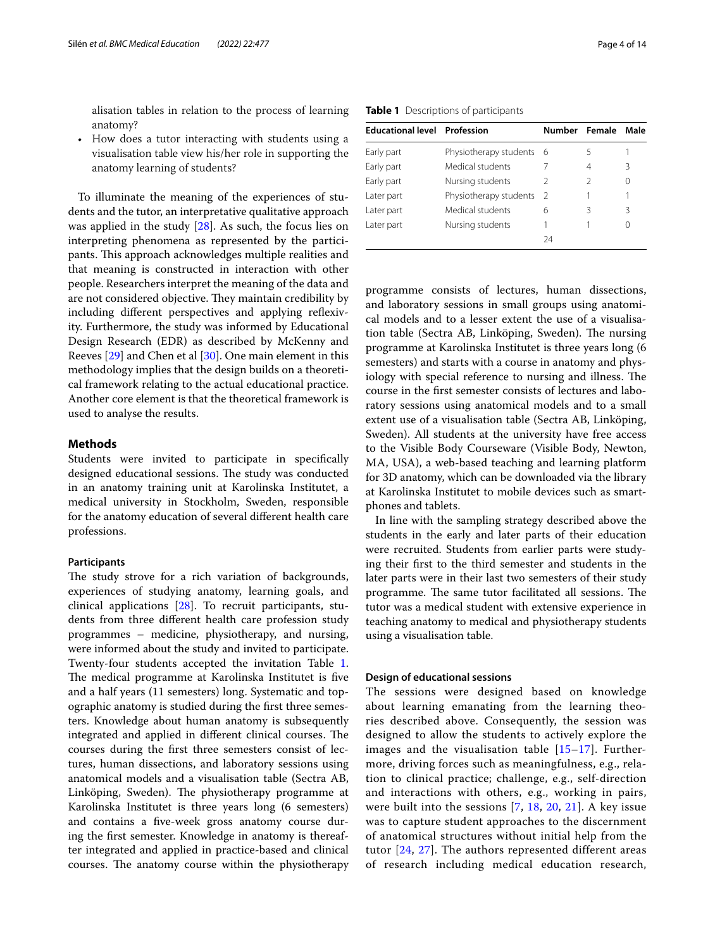alisation tables in relation to the process of learning anatomy?

• How does a tutor interacting with students using a visualisation table view his/her role in supporting the anatomy learning of students?

To illuminate the meaning of the experiences of students and the tutor, an interpretative qualitative approach was applied in the study [[28\]](#page-13-26). As such, the focus lies on interpreting phenomena as represented by the participants. This approach acknowledges multiple realities and that meaning is constructed in interaction with other people. Researchers interpret the meaning of the data and are not considered objective. They maintain credibility by including diferent perspectives and applying refexivity. Furthermore, the study was informed by Educational Design Research (EDR) as described by McKenny and Reeves [\[29](#page-13-27)] and Chen et al [[30\]](#page-13-28). One main element in this methodology implies that the design builds on a theoretical framework relating to the actual educational practice. Another core element is that the theoretical framework is used to analyse the results.

# **Methods**

Students were invited to participate in specifcally designed educational sessions. The study was conducted in an anatomy training unit at Karolinska Institutet, a medical university in Stockholm, Sweden, responsible for the anatomy education of several diferent health care professions.

# **Participants**

The study strove for a rich variation of backgrounds, experiences of studying anatomy, learning goals, and clinical applications [[28\]](#page-13-26). To recruit participants, students from three diferent health care profession study programmes – medicine, physiotherapy, and nursing, were informed about the study and invited to participate. Twenty-four students accepted the invitation Table [1](#page-3-0). The medical programme at Karolinska Institutet is five and a half years (11 semesters) long. Systematic and topographic anatomy is studied during the frst three semesters. Knowledge about human anatomy is subsequently integrated and applied in different clinical courses. The courses during the frst three semesters consist of lectures, human dissections, and laboratory sessions using anatomical models and a visualisation table (Sectra AB, Linköping, Sweden). The physiotherapy programme at Karolinska Institutet is three years long (6 semesters) and contains a fve-week gross anatomy course during the frst semester. Knowledge in anatomy is thereafter integrated and applied in practice-based and clinical courses. The anatomy course within the physiotherapy

<span id="page-3-0"></span>

| <b>Educational level Profession</b> |                        | Number Female |   | Male |
|-------------------------------------|------------------------|---------------|---|------|
| Early part                          | Physiotherapy students | - 6           |   |      |
| Early part                          | Medical students       |               | 4 | ζ    |
| Early part                          | Nursing students       | $\mathcal{P}$ |   | 0    |
| Later part                          | Physiotherapy students | 2             |   |      |
| Later part                          | Medical students       | 6             | ζ | 3    |
| Later part                          | Nursing students       |               |   |      |
|                                     |                        | 24            |   |      |

programme consists of lectures, human dissections, and laboratory sessions in small groups using anatomical models and to a lesser extent the use of a visualisation table (Sectra AB, Linköping, Sweden). The nursing programme at Karolinska Institutet is three years long (6 semesters) and starts with a course in anatomy and physiology with special reference to nursing and illness. The course in the frst semester consists of lectures and laboratory sessions using anatomical models and to a small extent use of a visualisation table (Sectra AB, Linköping, Sweden). All students at the university have free access to the Visible Body Courseware (Visible Body, Newton, MA, USA), a web-based teaching and learning platform for 3D anatomy, which can be downloaded via the library at Karolinska Institutet to mobile devices such as smartphones and tablets.

In line with the sampling strategy described above the students in the early and later parts of their education were recruited. Students from earlier parts were studying their frst to the third semester and students in the later parts were in their last two semesters of their study programme. The same tutor facilitated all sessions. The tutor was a medical student with extensive experience in teaching anatomy to medical and physiotherapy students using a visualisation table.

# **Design of educational sessions**

The sessions were designed based on knowledge about learning emanating from the learning theories described above. Consequently, the session was designed to allow the students to actively explore the images and the visualisation table  $[15-17]$  $[15-17]$  $[15-17]$ . Furthermore, driving forces such as meaningfulness, e.g., relation to clinical practice; challenge, e.g., self-direction and interactions with others, e.g., working in pairs, were built into the sessions [[7,](#page-13-4) [18,](#page-13-16) [20](#page-13-18), [21](#page-13-19)]. A key issue was to capture student approaches to the discernment of anatomical structures without initial help from the tutor [[24](#page-13-22), [27\]](#page-13-25). The authors represented different areas of research including medical education research,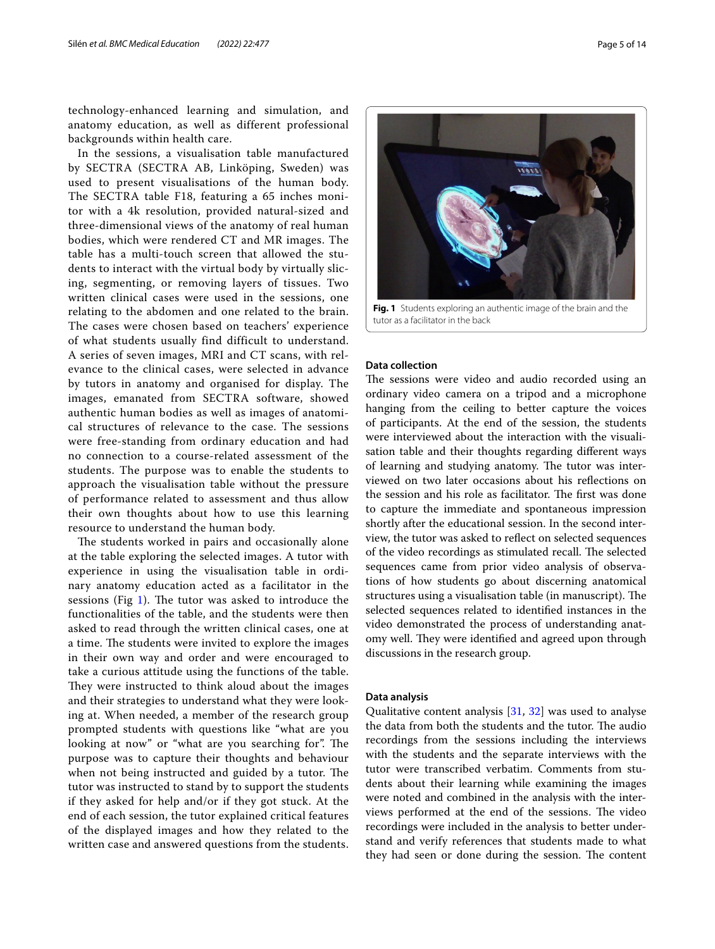technology-enhanced learning and simulation, and anatomy education, as well as different professional backgrounds within health care.

In the sessions, a visualisation table manufactured by SECTRA (SECTRA AB, Linköping, Sweden) was used to present visualisations of the human body. The SECTRA table F18, featuring a 65 inches monitor with a 4k resolution, provided natural-sized and three-dimensional views of the anatomy of real human bodies, which were rendered CT and MR images. The table has a multi-touch screen that allowed the students to interact with the virtual body by virtually slicing, segmenting, or removing layers of tissues. Two written clinical cases were used in the sessions, one relating to the abdomen and one related to the brain. The cases were chosen based on teachers' experience of what students usually find difficult to understand. A series of seven images, MRI and CT scans, with relevance to the clinical cases, were selected in advance by tutors in anatomy and organised for display. The images, emanated from SECTRA software, showed authentic human bodies as well as images of anatomical structures of relevance to the case. The sessions were free-standing from ordinary education and had no connection to a course-related assessment of the students. The purpose was to enable the students to approach the visualisation table without the pressure of performance related to assessment and thus allow their own thoughts about how to use this learning resource to understand the human body.

The students worked in pairs and occasionally alone at the table exploring the selected images. A tutor with experience in using the visualisation table in ordinary anatomy education acted as a facilitator in the sessions (Fig [1](#page-4-0)). The tutor was asked to introduce the functionalities of the table, and the students were then asked to read through the written clinical cases, one at a time. The students were invited to explore the images in their own way and order and were encouraged to take a curious attitude using the functions of the table. They were instructed to think aloud about the images and their strategies to understand what they were looking at. When needed, a member of the research group prompted students with questions like "what are you looking at now" or "what are you searching for". The purpose was to capture their thoughts and behaviour when not being instructed and guided by a tutor. The tutor was instructed to stand by to support the students if they asked for help and/or if they got stuck. At the end of each session, the tutor explained critical features of the displayed images and how they related to the written case and answered questions from the students.



# <span id="page-4-0"></span>**Data collection**

The sessions were video and audio recorded using an ordinary video camera on a tripod and a microphone hanging from the ceiling to better capture the voices of participants. At the end of the session, the students were interviewed about the interaction with the visualisation table and their thoughts regarding diferent ways of learning and studying anatomy. The tutor was interviewed on two later occasions about his refections on the session and his role as facilitator. The first was done to capture the immediate and spontaneous impression shortly after the educational session. In the second interview, the tutor was asked to refect on selected sequences of the video recordings as stimulated recall. The selected sequences came from prior video analysis of observations of how students go about discerning anatomical structures using a visualisation table (in manuscript). The selected sequences related to identifed instances in the video demonstrated the process of understanding anatomy well. They were identified and agreed upon through discussions in the research group.

# **Data analysis**

Qualitative content analysis [\[31](#page-13-29), [32](#page-13-30)] was used to analyse the data from both the students and the tutor. The audio recordings from the sessions including the interviews with the students and the separate interviews with the tutor were transcribed verbatim. Comments from students about their learning while examining the images were noted and combined in the analysis with the interviews performed at the end of the sessions. The video recordings were included in the analysis to better understand and verify references that students made to what they had seen or done during the session. The content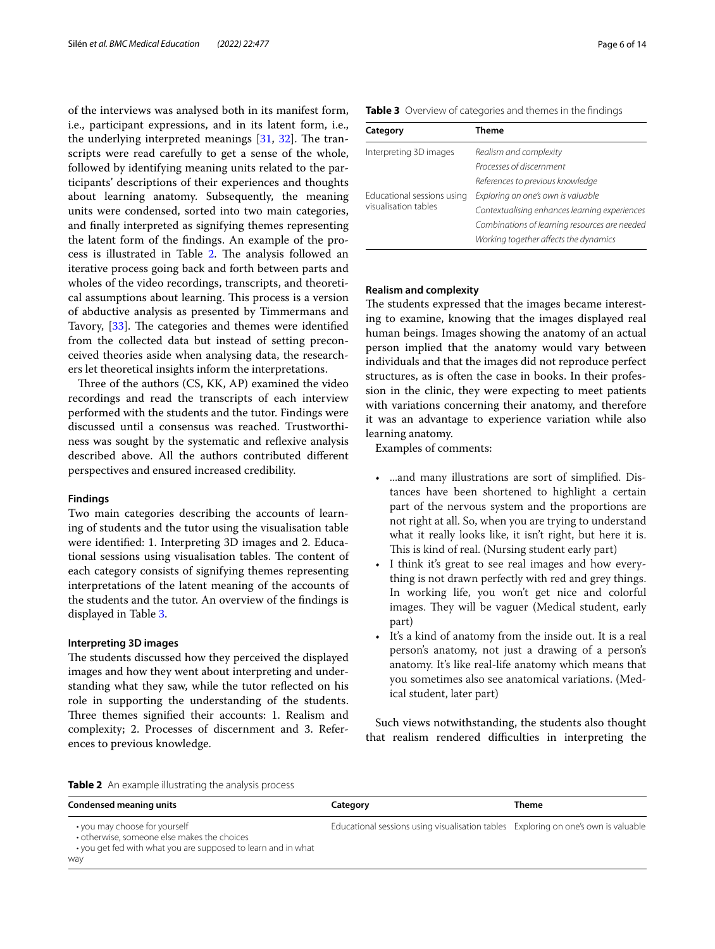of the interviews was analysed both in its manifest form, i.e., participant expressions, and in its latent form, i.e., the underlying interpreted meanings  $[31, 32]$  $[31, 32]$  $[31, 32]$  $[31, 32]$  $[31, 32]$ . The transcripts were read carefully to get a sense of the whole, followed by identifying meaning units related to the participants' descriptions of their experiences and thoughts about learning anatomy. Subsequently, the meaning units were condensed, sorted into two main categories, and fnally interpreted as signifying themes representing the latent form of the fndings. An example of the pro-cess is illustrated in Table [2](#page-5-0). The analysis followed an iterative process going back and forth between parts and wholes of the video recordings, transcripts, and theoretical assumptions about learning. This process is a version of abductive analysis as presented by Timmermans and Tavory, [[33](#page-13-31)]. The categories and themes were identified from the collected data but instead of setting preconceived theories aside when analysing data, the researchers let theoretical insights inform the interpretations.

Three of the authors (CS, KK, AP) examined the video recordings and read the transcripts of each interview performed with the students and the tutor. Findings were discussed until a consensus was reached. Trustworthiness was sought by the systematic and refexive analysis described above. All the authors contributed diferent perspectives and ensured increased credibility.

# **Findings**

Two main categories describing the accounts of learning of students and the tutor using the visualisation table were identifed: 1. Interpreting 3D images and 2. Educational sessions using visualisation tables. The content of each category consists of signifying themes representing interpretations of the latent meaning of the accounts of the students and the tutor. An overview of the fndings is displayed in Table [3](#page-5-1).

# **Interpreting 3D images**

The students discussed how they perceived the displayed images and how they went about interpreting and understanding what they saw, while the tutor refected on his role in supporting the understanding of the students. Three themes signified their accounts: 1. Realism and complexity; 2. Processes of discernment and 3. References to previous knowledge.

<span id="page-5-1"></span>

| Table 3 Overview of categories and themes in the findings |  |
|-----------------------------------------------------------|--|
|-----------------------------------------------------------|--|

| Category                   | Theme                                         |
|----------------------------|-----------------------------------------------|
| Interpreting 3D images     | Realism and complexity                        |
|                            | Processes of discernment                      |
|                            | References to previous knowledge              |
| Educational sessions using | Exploring on one's own is valuable            |
| visualisation tables       | Contextualising enhances learning experiences |
|                            | Combinations of learning resources are needed |
|                            | Working together affects the dynamics         |

# **Realism and complexity**

The students expressed that the images became interesting to examine, knowing that the images displayed real human beings. Images showing the anatomy of an actual person implied that the anatomy would vary between individuals and that the images did not reproduce perfect structures, as is often the case in books. In their profession in the clinic, they were expecting to meet patients with variations concerning their anatomy, and therefore it was an advantage to experience variation while also learning anatomy.

Examples of comments:

- ...and many illustrations are sort of simplifed. Distances have been shortened to highlight a certain part of the nervous system and the proportions are not right at all. So, when you are trying to understand what it really looks like, it isn't right, but here it is. This is kind of real. (Nursing student early part)
- I think it's great to see real images and how everything is not drawn perfectly with red and grey things. In working life, you won't get nice and colorful images. They will be vaguer (Medical student, early part)
- It's a kind of anatomy from the inside out. It is a real person's anatomy, not just a drawing of a person's anatomy. It's like real-life anatomy which means that you sometimes also see anatomical variations. (Medical student, later part)

Such views notwithstanding, the students also thought that realism rendered difficulties in interpreting the

<span id="page-5-0"></span>

|  | Table 2 An example illustrating the analysis process |  |
|--|------------------------------------------------------|--|
|  |                                                      |  |

| <b>Condensed meaning units</b>                                                                                                                       | Category                                                                           | Theme |
|------------------------------------------------------------------------------------------------------------------------------------------------------|------------------------------------------------------------------------------------|-------|
| • you may choose for yourself<br>• otherwise, someone else makes the choices<br>• you get fed with what you are supposed to learn and in what<br>way | Educational sessions using visualisation tables Exploring on one's own is valuable |       |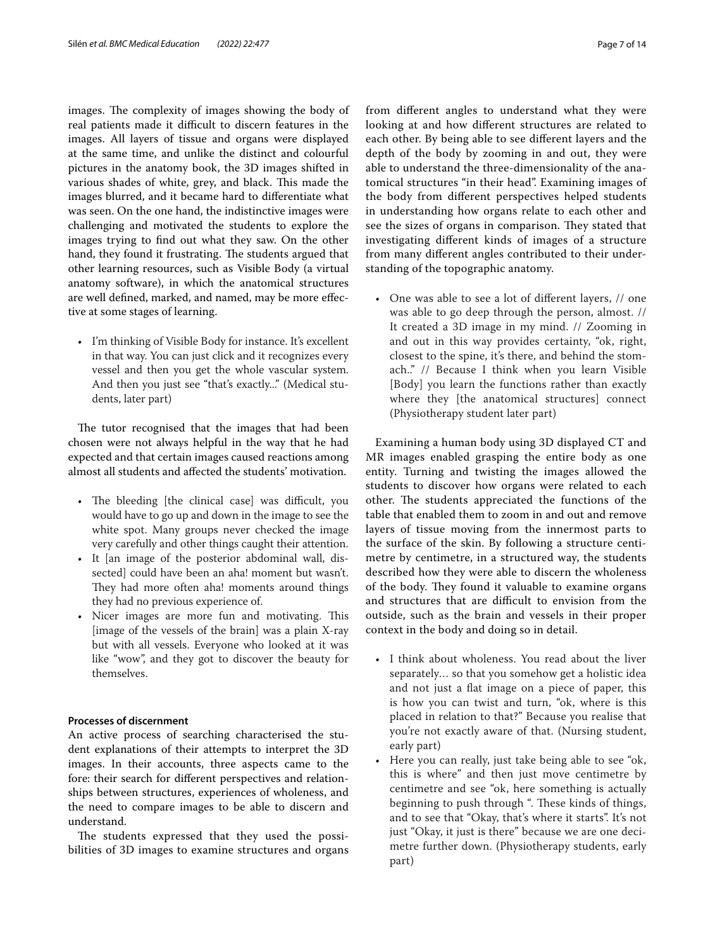images. The complexity of images showing the body of real patients made it difficult to discern features in the images. All layers of tissue and organs were displayed at the same time, and unlike the distinct and colourful pictures in the anatomy book, the 3D images shifted in various shades of white, grey, and black. This made the images blurred, and it became hard to diferentiate what was seen. On the one hand, the indistinctive images were challenging and motivated the students to explore the images trying to fnd out what they saw. On the other hand, they found it frustrating. The students argued that other learning resources, such as Visible Body (a virtual anatomy software), in which the anatomical structures are well defned, marked, and named, may be more efective at some stages of learning.

• I'm thinking of Visible Body for instance. It's excellent in that way. You can just click and it recognizes every vessel and then you get the whole vascular system. And then you just see "that's exactly..." (Medical students, later part)

The tutor recognised that the images that had been chosen were not always helpful in the way that he had expected and that certain images caused reactions among almost all students and afected the students' motivation.

- The bleeding [the clinical case] was difficult, you would have to go up and down in the image to see the white spot. Many groups never checked the image very carefully and other things caught their attention.
- It [an image of the posterior abdominal wall, dissected] could have been an aha! moment but wasn't. They had more often aha! moments around things they had no previous experience of.
- Nicer images are more fun and motivating. This [image of the vessels of the brain] was a plain X-ray but with all vessels. Everyone who looked at it was like "wow", and they got to discover the beauty for themselves.

# **Processes of discernment**

An active process of searching characterised the student explanations of their attempts to interpret the 3D images. In their accounts, three aspects came to the fore: their search for diferent perspectives and relationships between structures, experiences of wholeness, and the need to compare images to be able to discern and understand.

The students expressed that they used the possibilities of 3D images to examine structures and organs looking at and how diferent structures are related to each other. By being able to see diferent layers and the depth of the body by zooming in and out, they were able to understand the three-dimensionality of the anatomical structures "in their head". Examining images of the body from diferent perspectives helped students in understanding how organs relate to each other and see the sizes of organs in comparison. They stated that investigating diferent kinds of images of a structure from many diferent angles contributed to their understanding of the topographic anatomy.

• One was able to see a lot of diferent layers, // one was able to go deep through the person, almost. // It created a 3D image in my mind. // Zooming in and out in this way provides certainty, "ok, right, closest to the spine, it's there, and behind the stomach.." // Because I think when you learn Visible [Body] you learn the functions rather than exactly where they [the anatomical structures] connect (Physiotherapy student later part)

Examining a human body using 3D displayed CT and MR images enabled grasping the entire body as one entity. Turning and twisting the images allowed the students to discover how organs were related to each other. The students appreciated the functions of the table that enabled them to zoom in and out and remove layers of tissue moving from the innermost parts to the surface of the skin. By following a structure centimetre by centimetre, in a structured way, the students described how they were able to discern the wholeness of the body. They found it valuable to examine organs and structures that are difficult to envision from the outside, such as the brain and vessels in their proper context in the body and doing so in detail.

- I think about wholeness. You read about the liver separately… so that you somehow get a holistic idea and not just a flat image on a piece of paper, this is how you can twist and turn, "ok, where is this placed in relation to that?" Because you realise that you're not exactly aware of that. (Nursing student, early part)
- Here you can really, just take being able to see "ok, this is where" and then just move centimetre by centimetre and see "ok, here something is actually beginning to push through ". These kinds of things, and to see that "Okay, that's where it starts". It's not just "Okay, it just is there" because we are one decimetre further down. (Physiotherapy students, early part)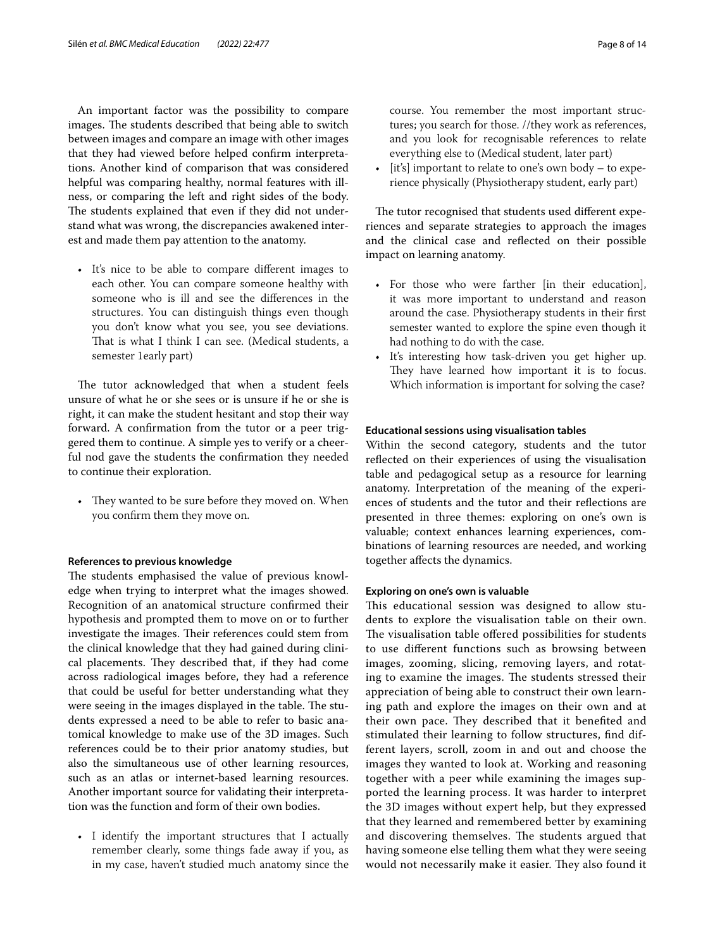An important factor was the possibility to compare images. The students described that being able to switch between images and compare an image with other images that they had viewed before helped confrm interpretations. Another kind of comparison that was considered helpful was comparing healthy, normal features with illness, or comparing the left and right sides of the body. The students explained that even if they did not understand what was wrong, the discrepancies awakened interest and made them pay attention to the anatomy.

• It's nice to be able to compare diferent images to each other. You can compare someone healthy with someone who is ill and see the diferences in the structures. You can distinguish things even though you don't know what you see, you see deviations. That is what I think I can see. (Medical students, a semester 1early part)

The tutor acknowledged that when a student feels unsure of what he or she sees or is unsure if he or she is right, it can make the student hesitant and stop their way forward. A confrmation from the tutor or a peer triggered them to continue. A simple yes to verify or a cheerful nod gave the students the confrmation they needed to continue their exploration.

• They wanted to be sure before they moved on. When you confrm them they move on.

#### **References to previous knowledge**

The students emphasised the value of previous knowledge when trying to interpret what the images showed. Recognition of an anatomical structure confrmed their hypothesis and prompted them to move on or to further investigate the images. Their references could stem from the clinical knowledge that they had gained during clinical placements. They described that, if they had come across radiological images before, they had a reference that could be useful for better understanding what they were seeing in the images displayed in the table. The students expressed a need to be able to refer to basic anatomical knowledge to make use of the 3D images. Such references could be to their prior anatomy studies, but also the simultaneous use of other learning resources, such as an atlas or internet-based learning resources. Another important source for validating their interpretation was the function and form of their own bodies.

• I identify the important structures that I actually remember clearly, some things fade away if you, as in my case, haven't studied much anatomy since the

course. You remember the most important structures; you search for those. //they work as references, and you look for recognisable references to relate everything else to (Medical student, later part)

• [it's] important to relate to one's own body – to experience physically (Physiotherapy student, early part)

The tutor recognised that students used different experiences and separate strategies to approach the images and the clinical case and refected on their possible impact on learning anatomy.

- For those who were farther [in their education], it was more important to understand and reason around the case. Physiotherapy students in their frst semester wanted to explore the spine even though it had nothing to do with the case.
- It's interesting how task-driven you get higher up. They have learned how important it is to focus. Which information is important for solving the case?

# **Educational sessions using visualisation tables**

Within the second category, students and the tutor refected on their experiences of using the visualisation table and pedagogical setup as a resource for learning anatomy. Interpretation of the meaning of the experiences of students and the tutor and their refections are presented in three themes: exploring on one's own is valuable; context enhances learning experiences, combinations of learning resources are needed, and working together afects the dynamics.

# **Exploring on one's own is valuable**

This educational session was designed to allow students to explore the visualisation table on their own. The visualisation table offered possibilities for students to use diferent functions such as browsing between images, zooming, slicing, removing layers, and rotating to examine the images. The students stressed their appreciation of being able to construct their own learning path and explore the images on their own and at their own pace. They described that it benefited and stimulated their learning to follow structures, fnd different layers, scroll, zoom in and out and choose the images they wanted to look at. Working and reasoning together with a peer while examining the images supported the learning process. It was harder to interpret the 3D images without expert help, but they expressed that they learned and remembered better by examining and discovering themselves. The students argued that having someone else telling them what they were seeing would not necessarily make it easier. They also found it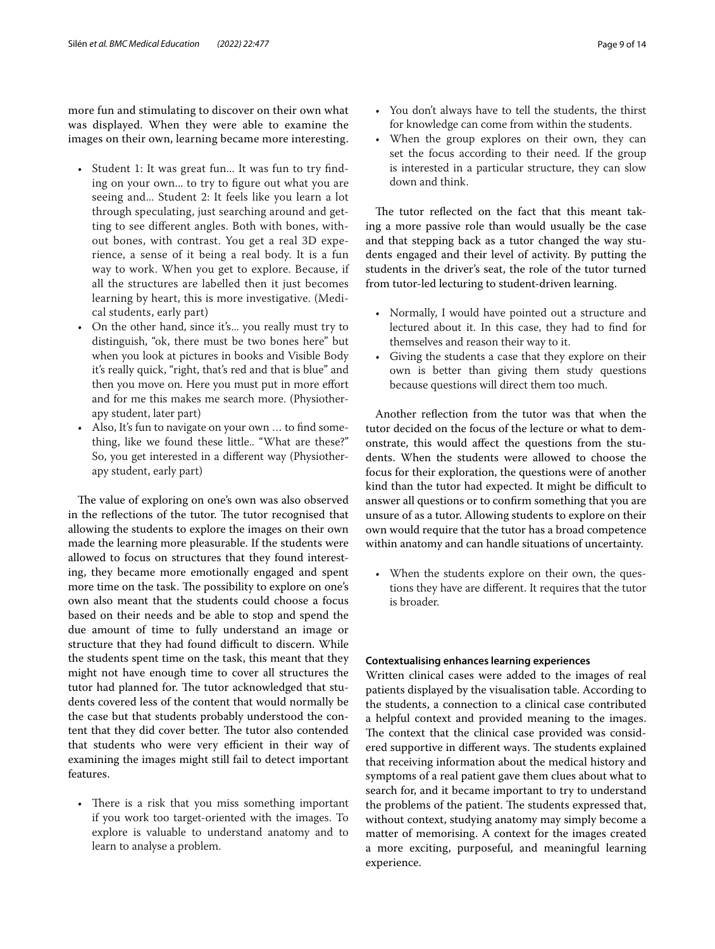more fun and stimulating to discover on their own what was displayed. When they were able to examine the images on their own, learning became more interesting.

- Student 1: It was great fun... It was fun to try fnding on your own... to try to fgure out what you are seeing and... Student 2: It feels like you learn a lot through speculating, just searching around and getting to see diferent angles. Both with bones, without bones, with contrast. You get a real 3D experience, a sense of it being a real body. It is a fun way to work. When you get to explore. Because, if all the structures are labelled then it just becomes learning by heart, this is more investigative. (Medical students, early part)
- On the other hand, since it's... you really must try to distinguish, "ok, there must be two bones here" but when you look at pictures in books and Visible Body it's really quick, "right, that's red and that is blue" and then you move on. Here you must put in more efort and for me this makes me search more. (Physiotherapy student, later part)
- Also, It's fun to navigate on your own … to fnd something, like we found these little.. "What are these?" So, you get interested in a diferent way (Physiotherapy student, early part)

The value of exploring on one's own was also observed in the reflections of the tutor. The tutor recognised that allowing the students to explore the images on their own made the learning more pleasurable. If the students were allowed to focus on structures that they found interesting, they became more emotionally engaged and spent more time on the task. The possibility to explore on one's own also meant that the students could choose a focus based on their needs and be able to stop and spend the due amount of time to fully understand an image or structure that they had found difficult to discern. While the students spent time on the task, this meant that they might not have enough time to cover all structures the tutor had planned for. The tutor acknowledged that students covered less of the content that would normally be the case but that students probably understood the content that they did cover better. The tutor also contended that students who were very efficient in their way of examining the images might still fail to detect important features.

• There is a risk that you miss something important if you work too target-oriented with the images. To explore is valuable to understand anatomy and to learn to analyse a problem.

- You don't always have to tell the students, the thirst for knowledge can come from within the students.
- When the group explores on their own, they can set the focus according to their need. If the group is interested in a particular structure, they can slow down and think.

The tutor reflected on the fact that this meant taking a more passive role than would usually be the case and that stepping back as a tutor changed the way students engaged and their level of activity. By putting the students in the driver's seat, the role of the tutor turned from tutor-led lecturing to student-driven learning.

- Normally, I would have pointed out a structure and lectured about it. In this case, they had to fnd for themselves and reason their way to it.
- Giving the students a case that they explore on their own is better than giving them study questions because questions will direct them too much.

Another refection from the tutor was that when the tutor decided on the focus of the lecture or what to demonstrate, this would afect the questions from the students. When the students were allowed to choose the focus for their exploration, the questions were of another kind than the tutor had expected. It might be difficult to answer all questions or to confrm something that you are unsure of as a tutor. Allowing students to explore on their own would require that the tutor has a broad competence within anatomy and can handle situations of uncertainty.

• When the students explore on their own, the questions they have are diferent. It requires that the tutor is broader.

# **Contextualising enhances learning experiences**

Written clinical cases were added to the images of real patients displayed by the visualisation table. According to the students, a connection to a clinical case contributed a helpful context and provided meaning to the images. The context that the clinical case provided was considered supportive in different ways. The students explained that receiving information about the medical history and symptoms of a real patient gave them clues about what to search for, and it became important to try to understand the problems of the patient. The students expressed that, without context, studying anatomy may simply become a matter of memorising. A context for the images created a more exciting, purposeful, and meaningful learning experience.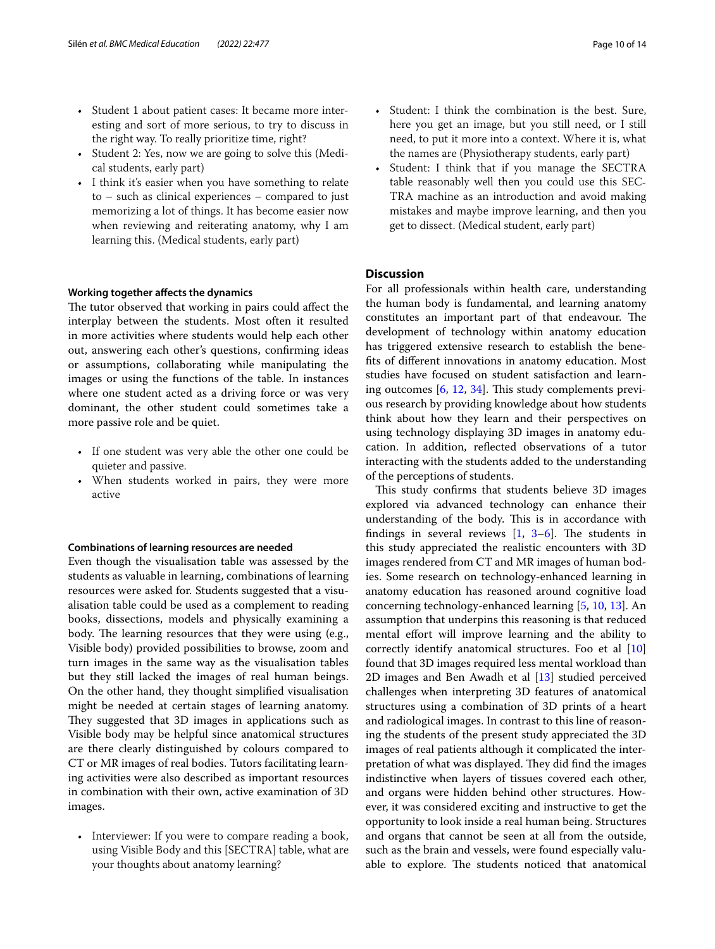- Student 1 about patient cases: It became more interesting and sort of more serious, to try to discuss in the right way. To really prioritize time, right?
- Student 2: Yes, now we are going to solve this (Medical students, early part)
- I think it's easier when you have something to relate to – such as clinical experiences – compared to just memorizing a lot of things. It has become easier now when reviewing and reiterating anatomy, why I am learning this. (Medical students, early part)

#### **Working together afects the dynamics**

The tutor observed that working in pairs could affect the interplay between the students. Most often it resulted in more activities where students would help each other out, answering each other's questions, confrming ideas or assumptions, collaborating while manipulating the images or using the functions of the table. In instances where one student acted as a driving force or was very dominant, the other student could sometimes take a more passive role and be quiet.

- If one student was very able the other one could be quieter and passive.
- When students worked in pairs, they were more active

# **Combinations of learning resources are needed**

Even though the visualisation table was assessed by the students as valuable in learning, combinations of learning resources were asked for. Students suggested that a visualisation table could be used as a complement to reading books, dissections, models and physically examining a body. The learning resources that they were using (e.g., Visible body) provided possibilities to browse, zoom and turn images in the same way as the visualisation tables but they still lacked the images of real human beings. On the other hand, they thought simplifed visualisation might be needed at certain stages of learning anatomy. They suggested that 3D images in applications such as Visible body may be helpful since anatomical structures are there clearly distinguished by colours compared to CT or MR images of real bodies. Tutors facilitating learning activities were also described as important resources in combination with their own, active examination of 3D images.

• Interviewer: If you were to compare reading a book, using Visible Body and this [SECTRA] table, what are your thoughts about anatomy learning?

- Student: I think the combination is the best. Sure, here you get an image, but you still need, or I still need, to put it more into a context. Where it is, what the names are (Physiotherapy students, early part)
- Student: I think that if you manage the SECTRA table reasonably well then you could use this SEC-TRA machine as an introduction and avoid making mistakes and maybe improve learning, and then you get to dissect. (Medical student, early part)

# **Discussion**

For all professionals within health care, understanding the human body is fundamental, and learning anatomy constitutes an important part of that endeavour. The development of technology within anatomy education has triggered extensive research to establish the benefts of diferent innovations in anatomy education. Most studies have focused on student satisfaction and learn-ing outcomes [[6](#page-13-3), [12,](#page-13-11) [34\]](#page-13-32). This study complements previous research by providing knowledge about how students think about how they learn and their perspectives on using technology displaying 3D images in anatomy education. In addition, refected observations of a tutor interacting with the students added to the understanding of the perceptions of students.

This study confirms that students believe 3D images explored via advanced technology can enhance their understanding of the body. This is in accordance with findings in several reviews  $\begin{bmatrix} 1, 3-6 \end{bmatrix}$ . The students in this study appreciated the realistic encounters with 3D images rendered from CT and MR images of human bodies. Some research on technology-enhanced learning in anatomy education has reasoned around cognitive load concerning technology-enhanced learning [[5,](#page-13-5) [10](#page-13-9), [13](#page-13-12)]. An assumption that underpins this reasoning is that reduced mental effort will improve learning and the ability to correctly identify anatomical structures. Foo et al [[10](#page-13-9)] found that 3D images required less mental workload than 2D images and Ben Awadh et al [[13\]](#page-13-12) studied perceived challenges when interpreting 3D features of anatomical structures using a combination of 3D prints of a heart and radiological images. In contrast to this line of reasoning the students of the present study appreciated the 3D images of real patients although it complicated the interpretation of what was displayed. They did find the images indistinctive when layers of tissues covered each other, and organs were hidden behind other structures. However, it was considered exciting and instructive to get the opportunity to look inside a real human being. Structures and organs that cannot be seen at all from the outside, such as the brain and vessels, were found especially valuable to explore. The students noticed that anatomical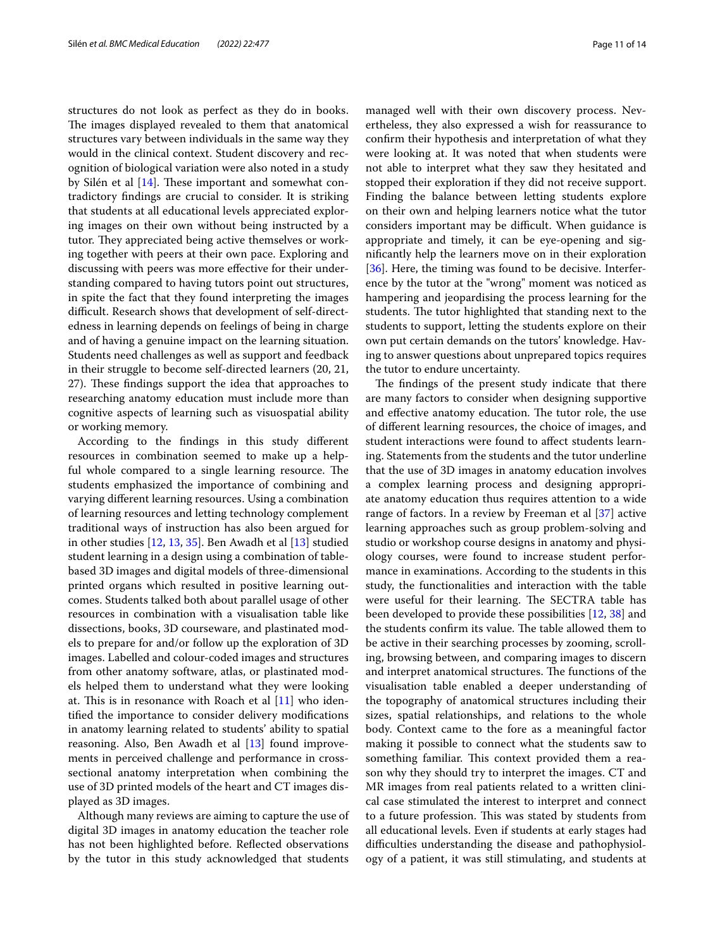structures do not look as perfect as they do in books. The images displayed revealed to them that anatomical structures vary between individuals in the same way they would in the clinical context. Student discovery and recognition of biological variation were also noted in a study by Silén et al  $[14]$  $[14]$ . These important and somewhat contradictory fndings are crucial to consider. It is striking that students at all educational levels appreciated exploring images on their own without being instructed by a tutor. They appreciated being active themselves or working together with peers at their own pace. Exploring and discussing with peers was more efective for their understanding compared to having tutors point out structures, in spite the fact that they found interpreting the images difficult. Research shows that development of self-directedness in learning depends on feelings of being in charge and of having a genuine impact on the learning situation. Students need challenges as well as support and feedback in their struggle to become self-directed learners (20, 21, 27). These findings support the idea that approaches to researching anatomy education must include more than cognitive aspects of learning such as visuospatial ability or working memory.

According to the fndings in this study diferent resources in combination seemed to make up a helpful whole compared to a single learning resource. The students emphasized the importance of combining and varying diferent learning resources. Using a combination of learning resources and letting technology complement traditional ways of instruction has also been argued for in other studies [[12,](#page-13-11) [13](#page-13-12), [35\]](#page-13-33). Ben Awadh et al [[13\]](#page-13-12) studied student learning in a design using a combination of tablebased 3D images and digital models of three-dimensional printed organs which resulted in positive learning outcomes. Students talked both about parallel usage of other resources in combination with a visualisation table like dissections, books, 3D courseware, and plastinated models to prepare for and/or follow up the exploration of 3D images. Labelled and colour-coded images and structures from other anatomy software, atlas, or plastinated models helped them to understand what they were looking at. This is in resonance with Roach et al  $[11]$  $[11]$  who identifed the importance to consider delivery modifcations in anatomy learning related to students' ability to spatial reasoning. Also, Ben Awadh et al [[13](#page-13-12)] found improvements in perceived challenge and performance in crosssectional anatomy interpretation when combining the use of 3D printed models of the heart and CT images displayed as 3D images.

Although many reviews are aiming to capture the use of digital 3D images in anatomy education the teacher role has not been highlighted before. Refected observations by the tutor in this study acknowledged that students

managed well with their own discovery process. Nevertheless, they also expressed a wish for reassurance to confrm their hypothesis and interpretation of what they were looking at. It was noted that when students were not able to interpret what they saw they hesitated and stopped their exploration if they did not receive support. Finding the balance between letting students explore on their own and helping learners notice what the tutor considers important may be difficult. When guidance is appropriate and timely, it can be eye-opening and signifcantly help the learners move on in their exploration [[36\]](#page-13-34). Here, the timing was found to be decisive. Interference by the tutor at the "wrong" moment was noticed as hampering and jeopardising the process learning for the students. The tutor highlighted that standing next to the students to support, letting the students explore on their own put certain demands on the tutors' knowledge. Having to answer questions about unprepared topics requires

the tutor to endure uncertainty.

The findings of the present study indicate that there are many factors to consider when designing supportive and effective anatomy education. The tutor role, the use of diferent learning resources, the choice of images, and student interactions were found to afect students learning. Statements from the students and the tutor underline that the use of 3D images in anatomy education involves a complex learning process and designing appropriate anatomy education thus requires attention to a wide range of factors. In a review by Freeman et al [[37\]](#page-13-35) active learning approaches such as group problem-solving and studio or workshop course designs in anatomy and physiology courses, were found to increase student performance in examinations. According to the students in this study, the functionalities and interaction with the table were useful for their learning. The SECTRA table has been developed to provide these possibilities [\[12](#page-13-11), [38\]](#page-13-36) and the students confirm its value. The table allowed them to be active in their searching processes by zooming, scrolling, browsing between, and comparing images to discern and interpret anatomical structures. The functions of the visualisation table enabled a deeper understanding of the topography of anatomical structures including their sizes, spatial relationships, and relations to the whole body. Context came to the fore as a meaningful factor making it possible to connect what the students saw to something familiar. This context provided them a reason why they should try to interpret the images. CT and MR images from real patients related to a written clinical case stimulated the interest to interpret and connect to a future profession. This was stated by students from all educational levels. Even if students at early stages had difficulties understanding the disease and pathophysiology of a patient, it was still stimulating, and students at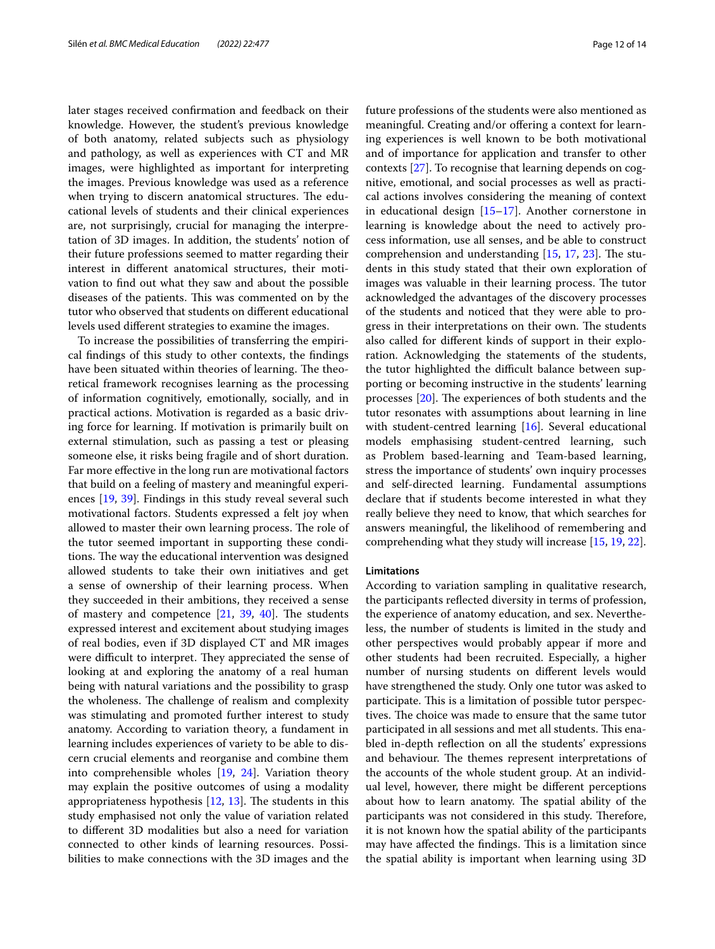later stages received confrmation and feedback on their knowledge. However, the student's previous knowledge of both anatomy, related subjects such as physiology and pathology, as well as experiences with CT and MR images, were highlighted as important for interpreting the images. Previous knowledge was used as a reference when trying to discern anatomical structures. The educational levels of students and their clinical experiences are, not surprisingly, crucial for managing the interpretation of 3D images. In addition, the students' notion of their future professions seemed to matter regarding their interest in diferent anatomical structures, their motivation to fnd out what they saw and about the possible diseases of the patients. This was commented on by the tutor who observed that students on diferent educational levels used diferent strategies to examine the images.

To increase the possibilities of transferring the empirical fndings of this study to other contexts, the fndings have been situated within theories of learning. The theoretical framework recognises learning as the processing of information cognitively, emotionally, socially, and in practical actions. Motivation is regarded as a basic driving force for learning. If motivation is primarily built on external stimulation, such as passing a test or pleasing someone else, it risks being fragile and of short duration. Far more efective in the long run are motivational factors that build on a feeling of mastery and meaningful experiences [[19,](#page-13-17) [39\]](#page-13-37). Findings in this study reveal several such motivational factors. Students expressed a felt joy when allowed to master their own learning process. The role of the tutor seemed important in supporting these conditions. The way the educational intervention was designed allowed students to take their own initiatives and get a sense of ownership of their learning process. When they succeeded in their ambitions, they received a sense of mastery and competence  $[21, 39, 40]$  $[21, 39, 40]$  $[21, 39, 40]$  $[21, 39, 40]$  $[21, 39, 40]$  $[21, 39, 40]$ . The students expressed interest and excitement about studying images of real bodies, even if 3D displayed CT and MR images were difficult to interpret. They appreciated the sense of looking at and exploring the anatomy of a real human being with natural variations and the possibility to grasp the wholeness. The challenge of realism and complexity was stimulating and promoted further interest to study anatomy. According to variation theory, a fundament in learning includes experiences of variety to be able to discern crucial elements and reorganise and combine them into comprehensible wholes [[19,](#page-13-17) [24\]](#page-13-22). Variation theory may explain the positive outcomes of using a modality appropriateness hypothesis  $[12, 13]$  $[12, 13]$  $[12, 13]$  $[12, 13]$ . The students in this study emphasised not only the value of variation related to diferent 3D modalities but also a need for variation connected to other kinds of learning resources. Possibilities to make connections with the 3D images and the future professions of the students were also mentioned as meaningful. Creating and/or offering a context for learning experiences is well known to be both motivational and of importance for application and transfer to other contexts [[27](#page-13-25)]. To recognise that learning depends on cognitive, emotional, and social processes as well as practical actions involves considering the meaning of context in educational design [\[15–](#page-13-14)[17\]](#page-13-15). Another cornerstone in learning is knowledge about the need to actively process information, use all senses, and be able to construct comprehension and understanding  $[15, 17, 23]$  $[15, 17, 23]$  $[15, 17, 23]$  $[15, 17, 23]$  $[15, 17, 23]$ . The students in this study stated that their own exploration of images was valuable in their learning process. The tutor acknowledged the advantages of the discovery processes of the students and noticed that they were able to progress in their interpretations on their own. The students also called for diferent kinds of support in their exploration. Acknowledging the statements of the students, the tutor highlighted the difficult balance between supporting or becoming instructive in the students' learning processes  $[20]$  $[20]$ . The experiences of both students and the tutor resonates with assumptions about learning in line with student-centred learning [[16](#page-13-39)]. Several educational models emphasising student-centred learning, such as Problem based-learning and Team-based learning, stress the importance of students' own inquiry processes and self-directed learning. Fundamental assumptions declare that if students become interested in what they really believe they need to know, that which searches for answers meaningful, the likelihood of remembering and comprehending what they study will increase [\[15](#page-13-14), [19,](#page-13-17) [22\]](#page-13-20).

#### **Limitations**

According to variation sampling in qualitative research, the participants refected diversity in terms of profession, the experience of anatomy education, and sex. Nevertheless, the number of students is limited in the study and other perspectives would probably appear if more and other students had been recruited. Especially, a higher number of nursing students on diferent levels would have strengthened the study. Only one tutor was asked to participate. This is a limitation of possible tutor perspectives. The choice was made to ensure that the same tutor participated in all sessions and met all students. This enabled in-depth refection on all the students' expressions and behaviour. The themes represent interpretations of the accounts of the whole student group. At an individual level, however, there might be diferent perceptions about how to learn anatomy. The spatial ability of the participants was not considered in this study. Therefore, it is not known how the spatial ability of the participants may have affected the findings. This is a limitation since the spatial ability is important when learning using 3D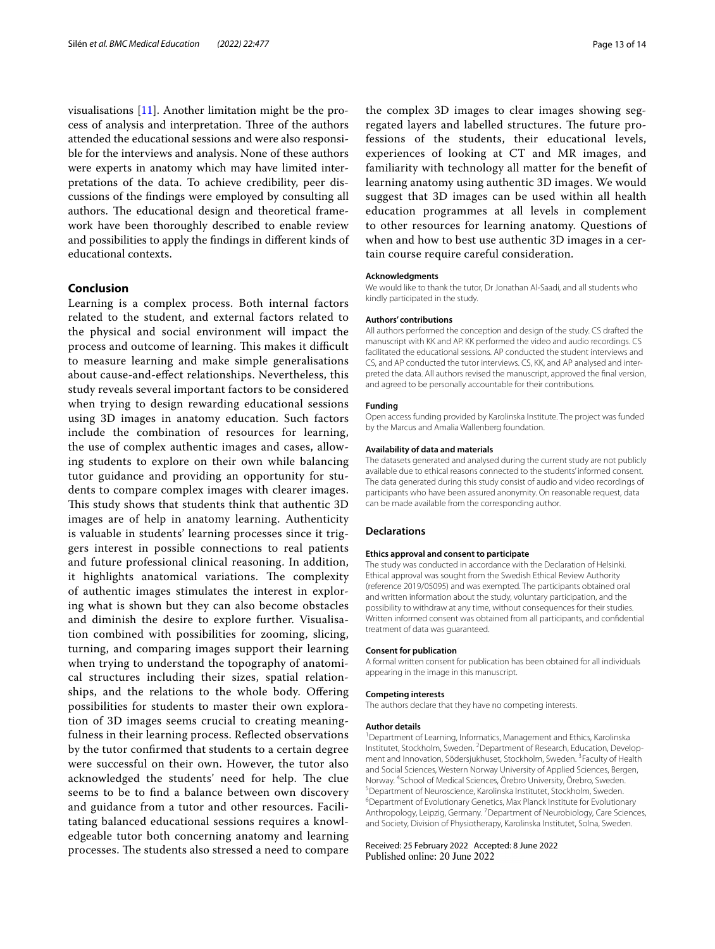visualisations [[11](#page-13-10)]. Another limitation might be the process of analysis and interpretation. Three of the authors attended the educational sessions and were also responsible for the interviews and analysis. None of these authors were experts in anatomy which may have limited interpretations of the data. To achieve credibility, peer discussions of the fndings were employed by consulting all authors. The educational design and theoretical framework have been thoroughly described to enable review and possibilities to apply the fndings in diferent kinds of educational contexts.

# **Conclusion**

Learning is a complex process. Both internal factors related to the student, and external factors related to the physical and social environment will impact the process and outcome of learning. This makes it difficult to measure learning and make simple generalisations about cause-and-efect relationships. Nevertheless, this study reveals several important factors to be considered when trying to design rewarding educational sessions using 3D images in anatomy education. Such factors include the combination of resources for learning, the use of complex authentic images and cases, allowing students to explore on their own while balancing tutor guidance and providing an opportunity for students to compare complex images with clearer images. This study shows that students think that authentic 3D images are of help in anatomy learning. Authenticity is valuable in students' learning processes since it triggers interest in possible connections to real patients and future professional clinical reasoning. In addition, it highlights anatomical variations. The complexity of authentic images stimulates the interest in exploring what is shown but they can also become obstacles and diminish the desire to explore further. Visualisation combined with possibilities for zooming, slicing, turning, and comparing images support their learning when trying to understand the topography of anatomical structures including their sizes, spatial relationships, and the relations to the whole body. Offering possibilities for students to master their own exploration of 3D images seems crucial to creating meaningfulness in their learning process. Refected observations by the tutor confrmed that students to a certain degree were successful on their own. However, the tutor also acknowledged the students' need for help. The clue seems to be to fnd a balance between own discovery and guidance from a tutor and other resources. Facilitating balanced educational sessions requires a knowledgeable tutor both concerning anatomy and learning processes. The students also stressed a need to compare

the complex 3D images to clear images showing segregated layers and labelled structures. The future professions of the students, their educational levels, experiences of looking at CT and MR images, and familiarity with technology all matter for the beneft of learning anatomy using authentic 3D images. We would suggest that 3D images can be used within all health education programmes at all levels in complement to other resources for learning anatomy. Questions of when and how to best use authentic 3D images in a certain course require careful consideration.

#### **Acknowledgments**

We would like to thank the tutor, Dr Jonathan Al-Saadi, and all students who kindly participated in the study.

#### **Authors' contributions**

All authors performed the conception and design of the study. CS drafted the manuscript with KK and AP. KK performed the video and audio recordings. CS facilitated the educational sessions. AP conducted the student interviews and CS, and AP conducted the tutor interviews. CS, KK, and AP analysed and interpreted the data. All authors revised the manuscript, approved the fnal version, and agreed to be personally accountable for their contributions.

#### **Funding**

Open access funding provided by Karolinska Institute. The project was funded by the Marcus and Amalia Wallenberg foundation.

#### **Availability of data and materials**

The datasets generated and analysed during the current study are not publicly available due to ethical reasons connected to the students' informed consent. The data generated during this study consist of audio and video recordings of participants who have been assured anonymity. On reasonable request, data can be made available from the corresponding author.

#### **Declarations**

#### **Ethics approval and consent to participate**

The study was conducted in accordance with the Declaration of Helsinki. Ethical approval was sought from the Swedish Ethical Review Authority (reference 2019/05095) and was exempted. The participants obtained oral and written information about the study, voluntary participation, and the possibility to withdraw at any time, without consequences for their studies. Written informed consent was obtained from all participants, and confdential treatment of data was guaranteed.

#### **Consent for publication**

A formal written consent for publication has been obtained for all individuals appearing in the image in this manuscript.

#### **Competing interests**

The authors declare that they have no competing interests.

#### **Author details**

<sup>1</sup> Department of Learning, Informatics, Management and Ethics, Karolinska Institutet, Stockholm, Sweden. <sup>2</sup> Department of Research, Education, Development and Innovation, Södersjukhuset, Stockholm, Sweden. <sup>3</sup> Faculty of Health and Social Sciences, Western Norway University of Applied Sciences, Bergen, Norway. 4 School of Medical Sciences, Örebro University, Örebro, Sweden. 5 <sup>5</sup>Department of Neuroscience, Karolinska Institutet, Stockholm, Sweden. <sup>6</sup>Department of Evolutionary Genetics, Max Planck Institute for Evolutionary Anthropology, Leipzig, Germany. <sup>7</sup> Department of Neurobiology, Care Sciences, and Society, Division of Physiotherapy, Karolinska Institutet, Solna, Sweden.

## Received: 25 February 2022 Accepted: 8 June 2022Published online: 20 June 2022